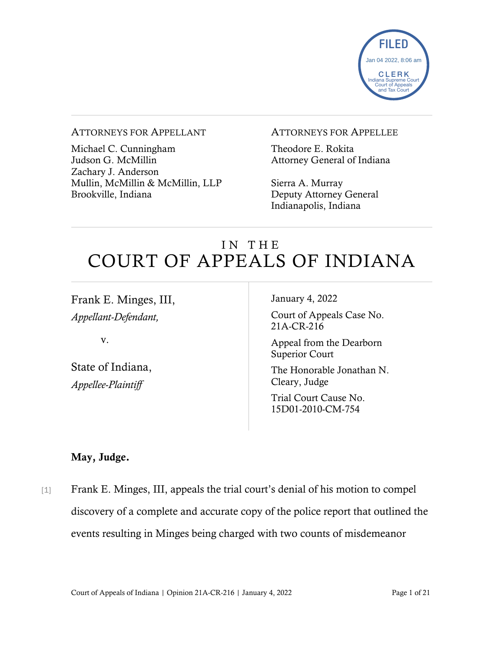

#### ATTORNEYS FOR APPELLANT

Michael C. Cunningham Judson G. McMillin Zachary J. Anderson Mullin, McMillin & McMillin, LLP Brookville, Indiana

#### ATTORNEYS FOR APPELLEE

Theodore E. Rokita Attorney General of Indiana

Sierra A. Murray Deputy Attorney General Indianapolis, Indiana

# IN THE COURT OF APPEALS OF INDIANA

Frank E. Minges, III, *Appellant-Defendant,*

v.

State of Indiana, *Appellee-Plaintiff*

January 4, 2022

Court of Appeals Case No. 21A-CR-216

Appeal from the Dearborn Superior Court

The Honorable Jonathan N. Cleary, Judge

Trial Court Cause No. 15D01-2010-CM-754

### May, Judge.

[1] Frank E. Minges, III, appeals the trial court's denial of his motion to compel discovery of a complete and accurate copy of the police report that outlined the events resulting in Minges being charged with two counts of misdemeanor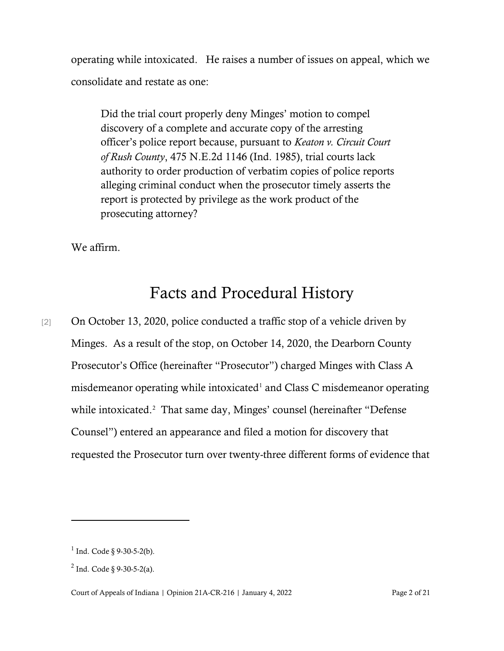operating while intoxicated. He raises a number of issues on appeal, which we consolidate and restate as one:

Did the trial court properly deny Minges' motion to compel discovery of a complete and accurate copy of the arresting officer's police report because, pursuant to *Keaton v. Circuit Court of Rush County*, 475 N.E.2d 1146 (Ind. 1985), trial courts lack authority to order production of verbatim copies of police reports alleging criminal conduct when the prosecutor timely asserts the report is protected by privilege as the work product of the prosecuting attorney?

We affirm.

# Facts and Procedural History

[2] On October 13, 2020, police conducted a traffic stop of a vehicle driven by Minges. As a result of the stop, on October 14, 2020, the Dearborn County Prosecutor's Office (hereinafter "Prosecutor") charged Minges with Class A misdemeanor operating while intoxicated<sup>[1](#page-1-0)</sup> and Class C misdemeanor operating while intoxicated.<sup>[2](#page-1-1)</sup> That same day, Minges' counsel (hereinafter "Defense Counsel") entered an appearance and filed a motion for discovery that requested the Prosecutor turn over twenty-three different forms of evidence that

<span id="page-1-0"></span> $1$  Ind. Code § 9-30-5-2(b).

<span id="page-1-1"></span> $^{2}$  Ind. Code  $\frac{8}{9}$ -30-5-2(a).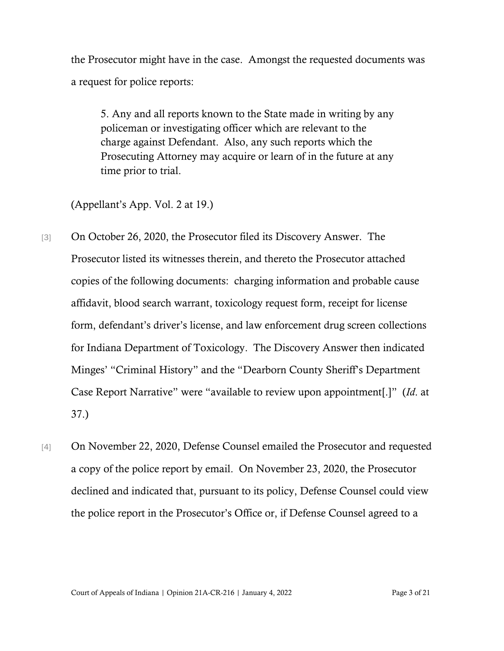the Prosecutor might have in the case. Amongst the requested documents was a request for police reports:

5. Any and all reports known to the State made in writing by any policeman or investigating officer which are relevant to the charge against Defendant. Also, any such reports which the Prosecuting Attorney may acquire or learn of in the future at any time prior to trial.

(Appellant's App. Vol. 2 at 19.)

- [3] On October 26, 2020, the Prosecutor filed its Discovery Answer. The Prosecutor listed its witnesses therein, and thereto the Prosecutor attached copies of the following documents: charging information and probable cause affidavit, blood search warrant, toxicology request form, receipt for license form, defendant's driver's license, and law enforcement drug screen collections for Indiana Department of Toxicology. The Discovery Answer then indicated Minges' "Criminal History" and the "Dearborn County Sheriff's Department Case Report Narrative" were "available to review upon appointment[.]" (*Id*. at 37.)
- [4] On November 22, 2020, Defense Counsel emailed the Prosecutor and requested a copy of the police report by email. On November 23, 2020, the Prosecutor declined and indicated that, pursuant to its policy, Defense Counsel could view the police report in the Prosecutor's Office or, if Defense Counsel agreed to a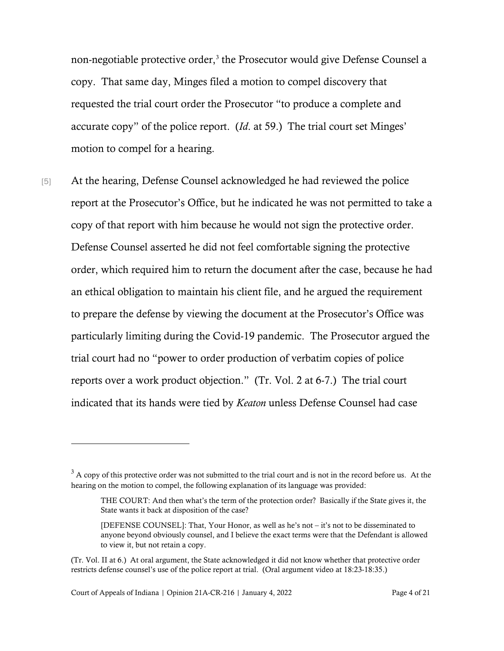non-negotiable protective order,<sup>[3](#page-3-0)</sup> the Prosecutor would give Defense Counsel a copy. That same day, Minges filed a motion to compel discovery that requested the trial court order the Prosecutor "to produce a complete and accurate copy" of the police report. (*Id*. at 59.) The trial court set Minges' motion to compel for a hearing.

[5] At the hearing, Defense Counsel acknowledged he had reviewed the police report at the Prosecutor's Office, but he indicated he was not permitted to take a copy of that report with him because he would not sign the protective order. Defense Counsel asserted he did not feel comfortable signing the protective order, which required him to return the document after the case, because he had an ethical obligation to maintain his client file, and he argued the requirement to prepare the defense by viewing the document at the Prosecutor's Office was particularly limiting during the Covid-19 pandemic. The Prosecutor argued the trial court had no "power to order production of verbatim copies of police reports over a work product objection." (Tr. Vol. 2 at 6-7.) The trial court indicated that its hands were tied by *Keaton* unless Defense Counsel had case

<span id="page-3-0"></span> $3$  A copy of this protective order was not submitted to the trial court and is not in the record before us. At the hearing on the motion to compel, the following explanation of its language was provided:

THE COURT: And then what's the term of the protection order? Basically if the State gives it, the State wants it back at disposition of the case?

<sup>[</sup>DEFENSE COUNSEL]: That, Your Honor, as well as he's not – it's not to be disseminated to anyone beyond obviously counsel, and I believe the exact terms were that the Defendant is allowed to view it, but not retain a copy.

<sup>(</sup>Tr. Vol. II at 6.) At oral argument, the State acknowledged it did not know whether that protective order restricts defense counsel's use of the police report at trial. (Oral argument video at 18:23-18:35.)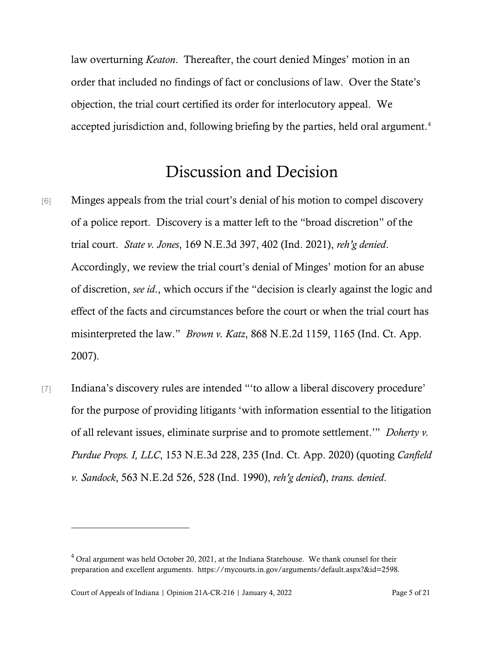law overturning *Keaton*. Thereafter, the court denied Minges' motion in an order that included no findings of fact or conclusions of law. Over the State's objection, the trial court certified its order for interlocutory appeal. We accepted jurisdiction and, following briefing by the parties, held oral argument.<sup>[4](#page-4-0)</sup>

## Discussion and Decision

- [6] Minges appeals from the trial court's denial of his motion to compel discovery of a police report. Discovery is a matter left to the "broad discretion" of the trial court. *State v. Jones*, 169 N.E.3d 397, 402 (Ind. 2021), *reh'g denied*. Accordingly, we review the trial court's denial of Minges' motion for an abuse of discretion, *see id*., which occurs if the "decision is clearly against the logic and effect of the facts and circumstances before the court or when the trial court has misinterpreted the law." *Brown v. Katz*, 868 N.E.2d 1159, 1165 (Ind. Ct. App. 2007).
- [7] Indiana's discovery rules are intended "'to allow a liberal discovery procedure' for the purpose of providing litigants 'with information essential to the litigation of all relevant issues, eliminate surprise and to promote settlement.'" *Doherty v. Purdue Props. I, LLC*, 153 N.E.3d 228, 235 (Ind. Ct. App. 2020) (quoting *Canfield v. Sandock*, 563 N.E.2d 526, 528 (Ind. 1990), *reh'g denied*), *trans. denied*.

<span id="page-4-0"></span> $4$  Oral argument was held October 20, 2021, at the Indiana Statehouse. We thank counsel for their preparation and excellent arguments. https://mycourts.in.gov/arguments/default.aspx?&id=2598.

Court of Appeals of Indiana | Opinion 21A-CR-216 | January 4, 2022 Page 5 of 21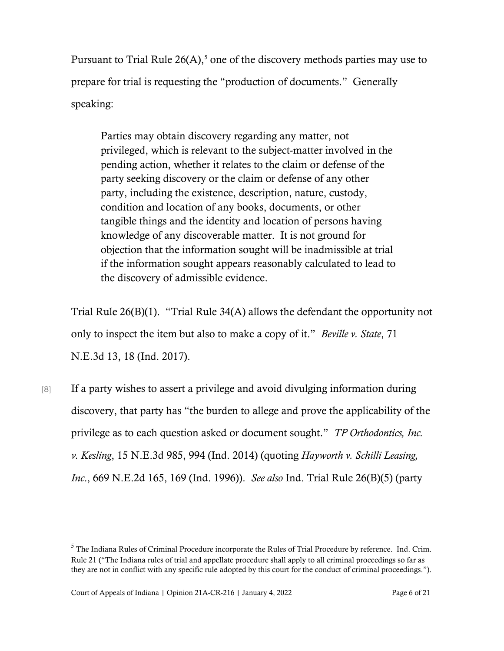Pursuant to Trial Rule  $26(A)$ ,<sup>[5](#page-5-0)</sup> one of the discovery methods parties may use to prepare for trial is requesting the "production of documents." Generally speaking:

Parties may obtain discovery regarding any matter, not privileged, which is relevant to the subject-matter involved in the pending action, whether it relates to the claim or defense of the party seeking discovery or the claim or defense of any other party, including the existence, description, nature, custody, condition and location of any books, documents, or other tangible things and the identity and location of persons having knowledge of any discoverable matter. It is not ground for objection that the information sought will be inadmissible at trial if the information sought appears reasonably calculated to lead to the discovery of admissible evidence.

Trial Rule 26(B)(1). "Trial Rule 34(A) allows the defendant the opportunity not only to inspect the item but also to make a copy of it." *Beville v. State*, 71 N.E.3d 13, 18 (Ind. 2017).

[8] If a party wishes to assert a privilege and avoid divulging information during discovery, that party has "the burden to allege and prove the applicability of the privilege as to each question asked or document sought." *TP Orthodontics, Inc. v. Kesling*, 15 N.E.3d 985, 994 (Ind. 2014) (quoting *Hayworth v. Schilli Leasing, Inc*., 669 N.E.2d 165, 169 (Ind. 1996)). *See also* Ind. Trial Rule 26(B)(5) (party

<span id="page-5-0"></span><sup>&</sup>lt;sup>5</sup> The Indiana Rules of Criminal Procedure incorporate the Rules of Trial Procedure by reference. Ind. Crim. Rule 21 ("The Indiana rules of trial and appellate procedure shall apply to all criminal proceedings so far as they are not in conflict with any specific rule adopted by this court for the conduct of criminal proceedings.").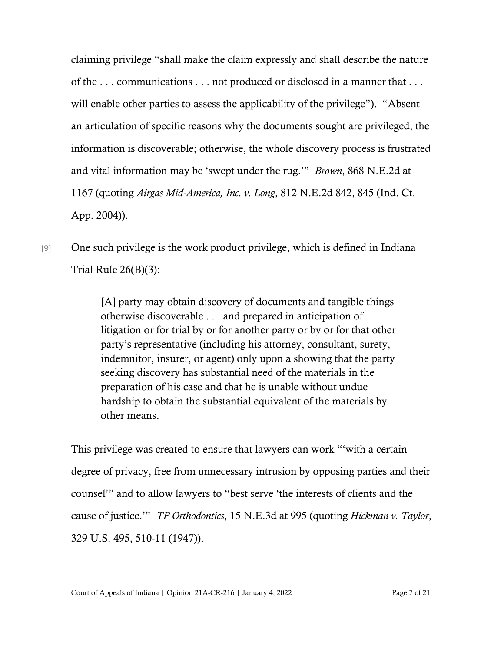claiming privilege "shall make the claim expressly and shall describe the nature of the . . . communications . . . not produced or disclosed in a manner that . . . will enable other parties to assess the applicability of the privilege"). "Absent an articulation of specific reasons why the documents sought are privileged, the information is discoverable; otherwise, the whole discovery process is frustrated and vital information may be 'swept under the rug.'" *Brown*, 868 N.E.2d at 1167 (quoting *Airgas Mid-America, Inc. v. Long*, 812 N.E.2d 842, 845 (Ind. Ct. App. 2004)).

[9] One such privilege is the work product privilege, which is defined in Indiana Trial Rule 26(B)(3):

> [A] party may obtain discovery of documents and tangible things otherwise discoverable . . . and prepared in anticipation of litigation or for trial by or for another party or by or for that other party's representative (including his attorney, consultant, surety, indemnitor, insurer, or agent) only upon a showing that the party seeking discovery has substantial need of the materials in the preparation of his case and that he is unable without undue hardship to obtain the substantial equivalent of the materials by other means.

This privilege was created to ensure that lawyers can work "'with a certain degree of privacy, free from unnecessary intrusion by opposing parties and their counsel'" and to allow lawyers to "best serve 'the interests of clients and the cause of justice.'" *TP Orthodontics*, 15 N.E.3d at 995 (quoting *Hickman v. Taylor*, 329 U.S. 495, 510-11 (1947)).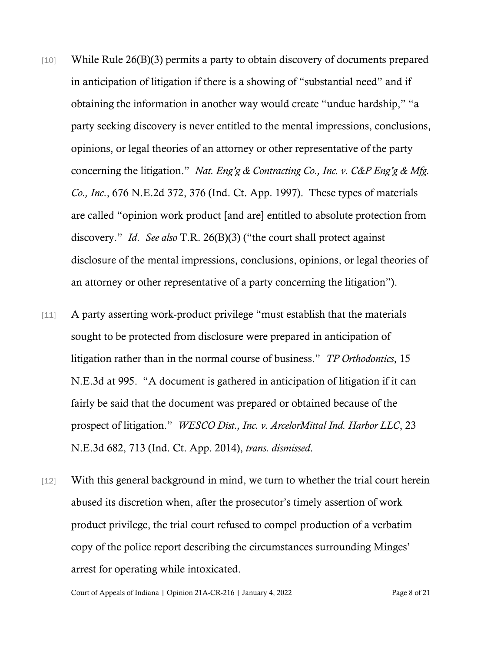- [10] While Rule 26(B)(3) permits a party to obtain discovery of documents prepared in anticipation of litigation if there is a showing of "substantial need" and if obtaining the information in another way would create "undue hardship," "a party seeking discovery is never entitled to the mental impressions, conclusions, opinions, or legal theories of an attorney or other representative of the party concerning the litigation." *Nat. Eng'g & Contracting Co., Inc. v. C&P Eng'g & Mfg. Co., Inc*., 676 N.E.2d 372, 376 (Ind. Ct. App. 1997). These types of materials are called "opinion work product [and are] entitled to absolute protection from discovery." *Id*. *See also* T.R. 26(B)(3) ("the court shall protect against disclosure of the mental impressions, conclusions, opinions, or legal theories of an attorney or other representative of a party concerning the litigation").
- [11] A party asserting work-product privilege "must establish that the materials sought to be protected from disclosure were prepared in anticipation of litigation rather than in the normal course of business." *TP Orthodontics*, 15 N.E.3d at 995. "A document is gathered in anticipation of litigation if it can fairly be said that the document was prepared or obtained because of the prospect of litigation." *WESCO Dist., Inc. v. ArcelorMittal Ind. Harbor LLC*, 23 N.E.3d 682, 713 (Ind. Ct. App. 2014), *trans. dismissed*.
- [12] With this general background in mind, we turn to whether the trial court herein abused its discretion when, after the prosecutor's timely assertion of work product privilege, the trial court refused to compel production of a verbatim copy of the police report describing the circumstances surrounding Minges' arrest for operating while intoxicated.

Court of Appeals of Indiana | Opinion 21A-CR-216 | January 4, 2022 Page 8 of 21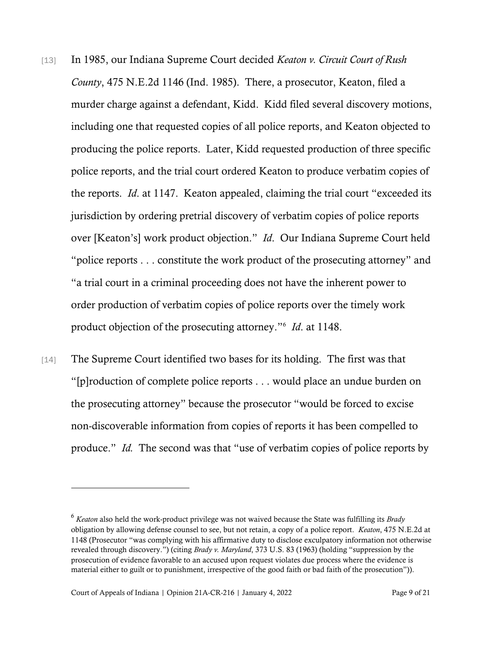- [13] In 1985, our Indiana Supreme Court decided *Keaton v. Circuit Court of Rush County*, 475 N.E.2d 1146 (Ind. 1985). There, a prosecutor, Keaton, filed a murder charge against a defendant, Kidd. Kidd filed several discovery motions, including one that requested copies of all police reports, and Keaton objected to producing the police reports. Later, Kidd requested production of three specific police reports, and the trial court ordered Keaton to produce verbatim copies of the reports. *Id*. at 1147. Keaton appealed, claiming the trial court "exceeded its jurisdiction by ordering pretrial discovery of verbatim copies of police reports over [Keaton's] work product objection." *Id*. Our Indiana Supreme Court held "police reports . . . constitute the work product of the prosecuting attorney" and "a trial court in a criminal proceeding does not have the inherent power to order production of verbatim copies of police reports over the timely work product objection of the prosecuting attorney."[6](#page-8-0) *Id*. at 1148.
- [14] The Supreme Court identified two bases for its holding. The first was that "[p]roduction of complete police reports . . . would place an undue burden on the prosecuting attorney" because the prosecutor "would be forced to excise non-discoverable information from copies of reports it has been compelled to produce." *Id.* The second was that "use of verbatim copies of police reports by

<span id="page-8-0"></span><sup>6</sup> *Keaton* also held the work-product privilege was not waived because the State was fulfilling its *Brady* obligation by allowing defense counsel to see, but not retain, a copy of a police report. *Keaton*, 475 N.E.2d at 1148 (Prosecutor "was complying with his affirmative duty to disclose exculpatory information not otherwise revealed through discovery.") (citing *Brady v. Maryland*, 373 U.S. 83 (1963) (holding "suppression by the prosecution of evidence favorable to an accused upon request violates due process where the evidence is material either to guilt or to punishment, irrespective of the good faith or bad faith of the prosecution")).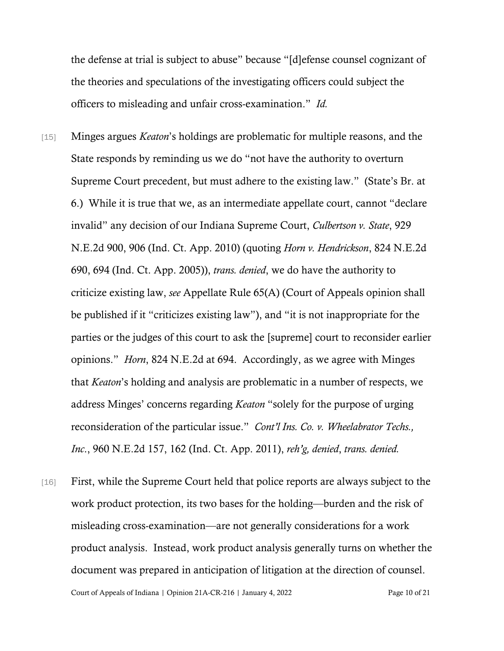the defense at trial is subject to abuse" because "[d]efense counsel cognizant of the theories and speculations of the investigating officers could subject the officers to misleading and unfair cross-examination." *Id.*

- [15] Minges argues *Keaton*'s holdings are problematic for multiple reasons, and the State responds by reminding us we do "not have the authority to overturn Supreme Court precedent, but must adhere to the existing law." (State's Br. at 6.) While it is true that we, as an intermediate appellate court, cannot "declare invalid" any decision of our Indiana Supreme Court, *Culbertson v. State*, 929 N.E.2d 900, 906 (Ind. Ct. App. 2010) (quoting *Horn v. Hendrickson*, 824 N.E.2d 690, 694 (Ind. Ct. App. 2005)), *trans. denied*, we do have the authority to criticize existing law, *see* Appellate Rule 65(A) (Court of Appeals opinion shall be published if it "criticizes existing law"), and "it is not inappropriate for the parties or the judges of this court to ask the [supreme] court to reconsider earlier opinions." *Horn*, 824 N.E.2d at 694. Accordingly, as we agree with Minges that *Keaton*'s holding and analysis are problematic in a number of respects, we address Minges' concerns regarding *Keaton* "solely for the purpose of urging reconsideration of the particular issue." *Cont'l Ins. Co. v. Wheelabrator Techs., Inc*., 960 N.E.2d 157, 162 (Ind. Ct. App. 2011), *reh'g, denied*, *trans. denied.*
- Court of Appeals of Indiana | Opinion 21A-CR-216 | January 4, 2022 Page 10 of 21 [16] First, while the Supreme Court held that police reports are always subject to the work product protection, its two bases for the holding—burden and the risk of misleading cross-examination—are not generally considerations for a work product analysis. Instead, work product analysis generally turns on whether the document was prepared in anticipation of litigation at the direction of counsel.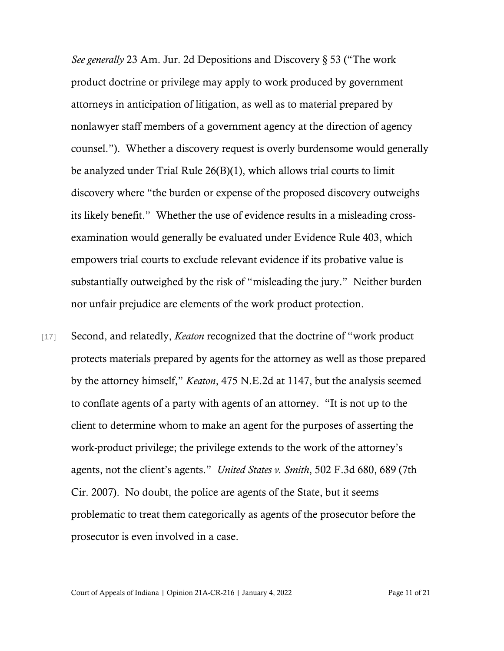*See generally* 23 Am. Jur. 2d Depositions and Discovery § 53 ("The work product doctrine or privilege may apply to work produced by government attorneys in anticipation of litigation, as well as to material prepared by nonlawyer staff members of a government agency at the direction of agency counsel."). Whether a discovery request is overly burdensome would generally be analyzed under Trial Rule 26(B)(1), which allows trial courts to limit discovery where "the burden or expense of the proposed discovery outweighs its likely benefit." Whether the use of evidence results in a misleading crossexamination would generally be evaluated under Evidence Rule 403, which empowers trial courts to exclude relevant evidence if its probative value is substantially outweighed by the risk of "misleading the jury." Neither burden nor unfair prejudice are elements of the work product protection.

[17] Second, and relatedly, *Keaton* recognized that the doctrine of "work product protects materials prepared by agents for the attorney as well as those prepared by the attorney himself," *Keaton*, 475 N.E.2d at 1147, but the analysis seemed to conflate agents of a party with agents of an attorney. "It is not up to the client to determine whom to make an agent for the purposes of asserting the work-product privilege; the privilege extends to the work of the attorney's agents, not the client's agents." *United States v. Smith*, 502 F.3d 680, 689 (7th Cir. 2007). No doubt, the police are agents of the State, but it seems problematic to treat them categorically as agents of the prosecutor before the prosecutor is even involved in a case.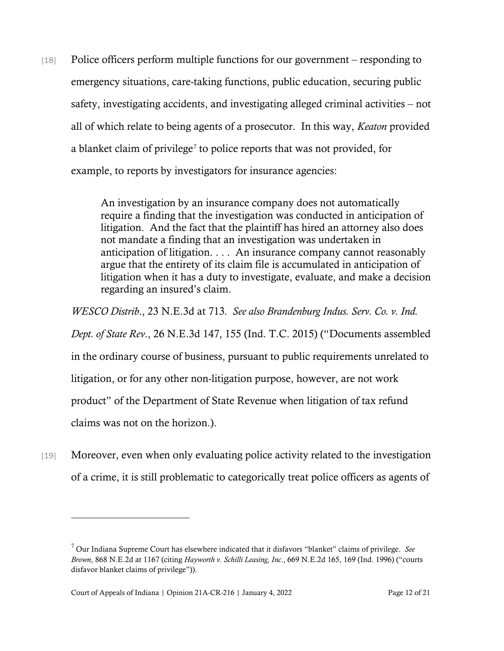[18] Police officers perform multiple functions for our government – responding to emergency situations, care-taking functions, public education, securing public safety, investigating accidents, and investigating alleged criminal activities – not all of which relate to being agents of a prosecutor. In this way, *Keaton* provided a blanket claim of privilege<sup>[7](#page-11-0)</sup> to police reports that was not provided, for example, to reports by investigators for insurance agencies:

> An investigation by an insurance company does not automatically require a finding that the investigation was conducted in anticipation of litigation. And the fact that the plaintiff has hired an attorney also does not mandate a finding that an investigation was undertaken in anticipation of litigation. . . . An insurance company cannot reasonably argue that the entirety of its claim file is accumulated in anticipation of litigation when it has a duty to investigate, evaluate, and make a decision regarding an insured's claim.

*WESCO Distrib*., 23 N.E.3d at 713*. See also Brandenburg Indus. Serv. Co. v. Ind. Dept. of State Rev*., 26 N.E.3d 147, 155 (Ind. T.C. 2015) ("Documents assembled in the ordinary course of business, pursuant to public requirements unrelated to litigation, or for any other non-litigation purpose, however, are not work product" of the Department of State Revenue when litigation of tax refund claims was not on the horizon.).

[19] Moreover, even when only evaluating police activity related to the investigation of a crime, it is still problematic to categorically treat police officers as agents of

<span id="page-11-0"></span><sup>7</sup> Our Indiana Supreme Court has elsewhere indicated that it disfavors "blanket" claims of privilege. *See Brown*, 868 N.E.2d at 1167 (citing *Hayworth v. Schilli Leasing, Inc*., 669 N.E.2d 165, 169 (Ind. 1996) ("courts disfavor blanket claims of privilege")).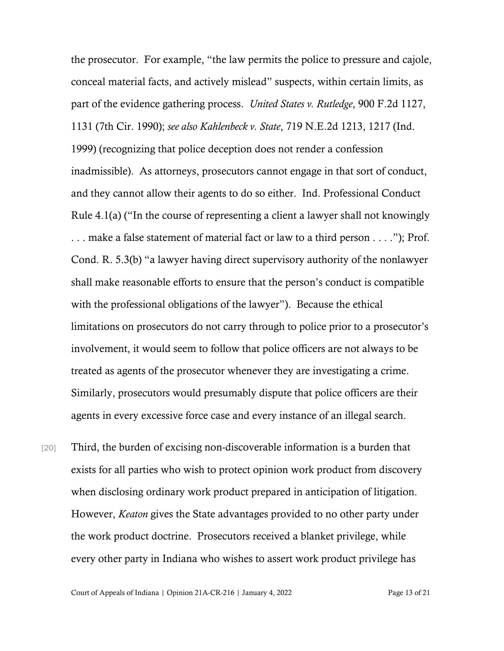the prosecutor. For example, "the law permits the police to pressure and cajole, conceal material facts, and actively mislead" suspects, within certain limits, as part of the evidence gathering process. *United States v. Rutledge*, 900 F.2d 1127, 1131 (7th Cir. 1990); *see also Kahlenbeck v. State*, 719 N.E.2d 1213, 1217 (Ind. 1999) (recognizing that police deception does not render a confession inadmissible). As attorneys, prosecutors cannot engage in that sort of conduct, and they cannot allow their agents to do so either. Ind. Professional Conduct Rule 4.1(a) ("In the course of representing a client a lawyer shall not knowingly . . . make a false statement of material fact or law to a third person . . . ."); Prof. Cond. R. 5.3(b) "a lawyer having direct supervisory authority of the nonlawyer shall make reasonable efforts to ensure that the person's conduct is compatible with the professional obligations of the lawyer"). Because the ethical limitations on prosecutors do not carry through to police prior to a prosecutor's involvement, it would seem to follow that police officers are not always to be treated as agents of the prosecutor whenever they are investigating a crime. Similarly, prosecutors would presumably dispute that police officers are their agents in every excessive force case and every instance of an illegal search.

[20] Third, the burden of excising non-discoverable information is a burden that exists for all parties who wish to protect opinion work product from discovery when disclosing ordinary work product prepared in anticipation of litigation. However, *Keaton* gives the State advantages provided to no other party under the work product doctrine. Prosecutors received a blanket privilege, while every other party in Indiana who wishes to assert work product privilege has

Court of Appeals of Indiana | Opinion 21A-CR-216 | January 4, 2022 Page 13 of 21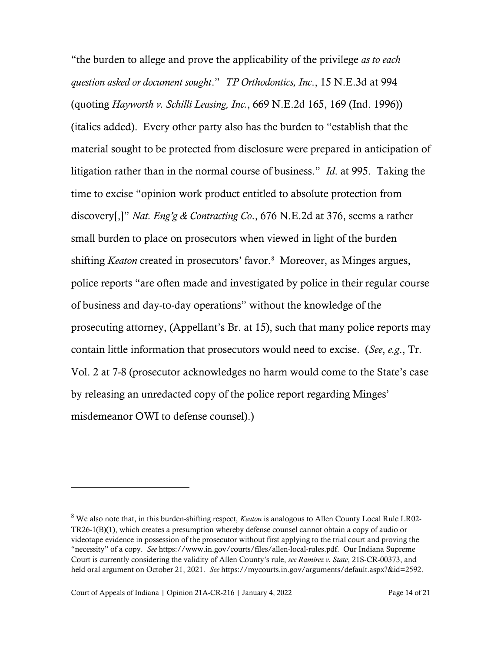"the burden to allege and prove the applicability of the privilege *as to each question asked or document sought*." *TP Orthodontics, Inc*., 15 N.E.3d at 994 (quoting *Hayworth v. Schilli Leasing, Inc.*, 669 N.E.2d 165, 169 (Ind. 1996)) (italics added). Every other party also has the burden to "establish that the material sought to be protected from disclosure were prepared in anticipation of litigation rather than in the normal course of business." *Id*. at 995. Taking the time to excise "opinion work product entitled to absolute protection from discovery[,]" *Nat. Eng'g & Contracting Co*., 676 N.E.2d at 376, seems a rather small burden to place on prosecutors when viewed in light of the burden shifting *Keaton* created in prosecutors' favor.<sup>[8](#page-13-0)</sup> Moreover, as Minges argues, police reports "are often made and investigated by police in their regular course of business and day-to-day operations" without the knowledge of the prosecuting attorney, (Appellant's Br. at 15), such that many police reports may contain little information that prosecutors would need to excise. (*See*, *e.g*., Tr. Vol. 2 at 7-8 (prosecutor acknowledges no harm would come to the State's case by releasing an unredacted copy of the police report regarding Minges' misdemeanor OWI to defense counsel).)

<span id="page-13-0"></span><sup>8</sup> We also note that, in this burden-shifting respect, *Keaton* is analogous to Allen County Local Rule LR02- TR26-1(B)(1), which creates a presumption whereby defense counsel cannot obtain a copy of audio or videotape evidence in possession of the prosecutor without first applying to the trial court and proving the "necessity" of a copy. *See* [https://www.in.gov/courts/files/allen-local-rules.pdf.](https://www.in.gov/courts/files/allen-local-rules.pdf) Our Indiana Supreme Court is currently considering the validity of Allen County's rule, *see Ramirez v. State*, 21S-CR-00373, and held oral argument on October 21, 2021. *See* [https://mycourts.in.gov/arguments/default.aspx?&id=2592.](https://mycourts.in.gov/arguments/default.aspx?&id=2592)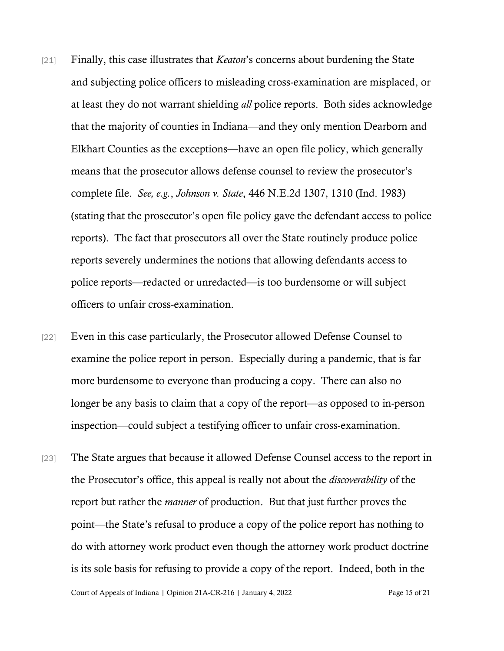- [21] Finally, this case illustrates that *Keaton*'s concerns about burdening the State and subjecting police officers to misleading cross-examination are misplaced, or at least they do not warrant shielding *all* police reports. Both sides acknowledge that the majority of counties in Indiana—and they only mention Dearborn and Elkhart Counties as the exceptions—have an open file policy, which generally means that the prosecutor allows defense counsel to review the prosecutor's complete file. *See, e.g.*, *Johnson v. State*, 446 N.E.2d 1307, 1310 (Ind. 1983) (stating that the prosecutor's open file policy gave the defendant access to police reports). The fact that prosecutors all over the State routinely produce police reports severely undermines the notions that allowing defendants access to police reports—redacted or unredacted—is too burdensome or will subject officers to unfair cross-examination.
- [22] Even in this case particularly, the Prosecutor allowed Defense Counsel to examine the police report in person. Especially during a pandemic, that is far more burdensome to everyone than producing a copy. There can also no longer be any basis to claim that a copy of the report—as opposed to in-person inspection—could subject a testifying officer to unfair cross-examination.
- [23] The State argues that because it allowed Defense Counsel access to the report in the Prosecutor's office, this appeal is really not about the *discoverability* of the report but rather the *manner* of production. But that just further proves the point—the State's refusal to produce a copy of the police report has nothing to do with attorney work product even though the attorney work product doctrine is its sole basis for refusing to provide a copy of the report. Indeed, both in the

Court of Appeals of Indiana | Opinion 21A-CR-216 | January 4, 2022 Page 15 of 21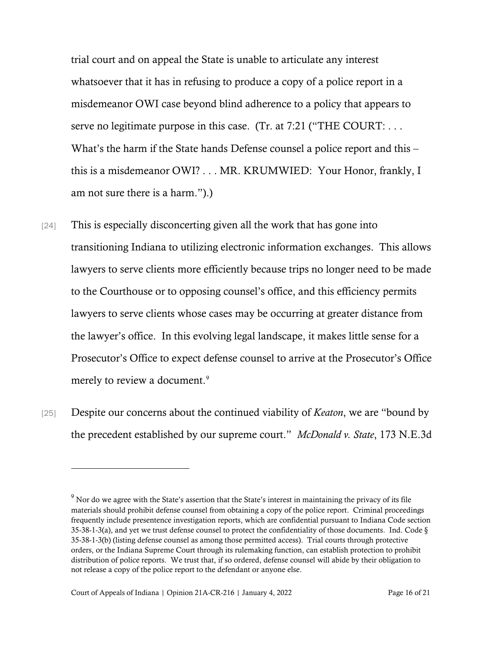trial court and on appeal the State is unable to articulate any interest whatsoever that it has in refusing to produce a copy of a police report in a misdemeanor OWI case beyond blind adherence to a policy that appears to serve no legitimate purpose in this case. (Tr. at 7:21 ("THE COURT: ... What's the harm if the State hands Defense counsel a police report and this – this is a misdemeanor OWI? . . . MR. KRUMWIED: Your Honor, frankly, I am not sure there is a harm.").)

- [24] This is especially disconcerting given all the work that has gone into transitioning Indiana to utilizing electronic information exchanges. This allows lawyers to serve clients more efficiently because trips no longer need to be made to the Courthouse or to opposing counsel's office, and this efficiency permits lawyers to serve clients whose cases may be occurring at greater distance from the lawyer's office. In this evolving legal landscape, it makes little sense for a Prosecutor's Office to expect defense counsel to arrive at the Prosecutor's Office merely to review a document.<sup>9</sup>
- [25] Despite our concerns about the continued viability of *Keaton*, we are "bound by the precedent established by our supreme court." *McDonald v. State*, 173 N.E.3d

<span id="page-15-0"></span><sup>&</sup>lt;sup>9</sup> Nor do we agree with the State's assertion that the State's interest in maintaining the privacy of its file materials should prohibit defense counsel from obtaining a copy of the police report. Criminal proceedings frequently include presentence investigation reports, which are confidential pursuant to Indiana Code section 35-38-1-3(a), and yet we trust defense counsel to protect the confidentiality of those documents. Ind. Code § 35-38-1-3(b) (listing defense counsel as among those permitted access). Trial courts through protective orders, or the Indiana Supreme Court through its rulemaking function, can establish protection to prohibit distribution of police reports. We trust that, if so ordered, defense counsel will abide by their obligation to not release a copy of the police report to the defendant or anyone else.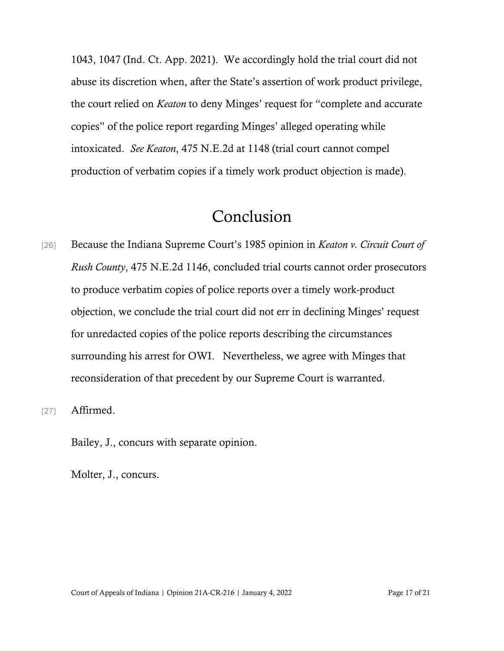1043, 1047 (Ind. Ct. App. 2021). We accordingly hold the trial court did not abuse its discretion when, after the State's assertion of work product privilege, the court relied on *Keaton* to deny Minges' request for "complete and accurate copies" of the police report regarding Minges' alleged operating while intoxicated. *See Keaton*, 475 N.E.2d at 1148 (trial court cannot compel production of verbatim copies if a timely work product objection is made).

## Conclusion

- [26] Because the Indiana Supreme Court's 1985 opinion in *Keaton v. Circuit Court of Rush County*, 475 N.E.2d 1146, concluded trial courts cannot order prosecutors to produce verbatim copies of police reports over a timely work-product objection, we conclude the trial court did not err in declining Minges' request for unredacted copies of the police reports describing the circumstances surrounding his arrest for OWI. Nevertheless, we agree with Minges that reconsideration of that precedent by our Supreme Court is warranted.
- [27] **Affirmed.**

Bailey, J., concurs with separate opinion.

Molter, J., concurs.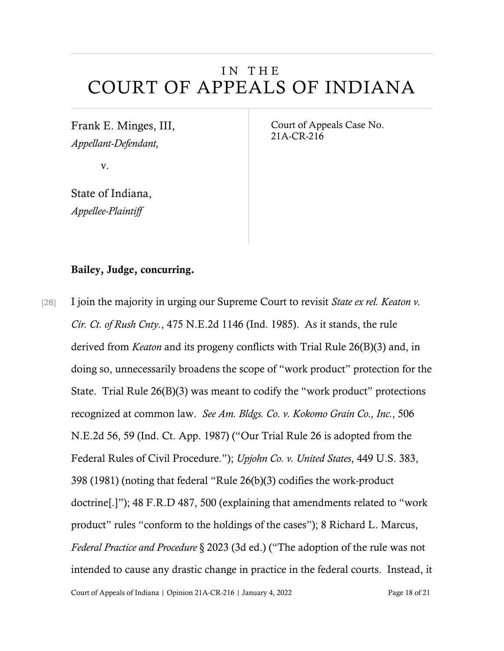## IN THE COURT OF APPEALS OF INDIANA

Frank E. Minges, III, *Appellant-Defendant,*

v.

State of Indiana, *Appellee-Plaintiff*

Court of Appeals Case No. 21A-CR-216

### Bailey, Judge, concurring.

Court of Appeals of Indiana | Opinion 21A-CR-216 | January 4, 2022 Page 18 of 21 [28] I join the majority in urging our Supreme Court to revisit *State ex rel. Keaton v. Cir. Ct. of Rush Cnty.*, 475 N.E.2d 1146 (Ind. 1985). As it stands, the rule derived from *Keaton* and its progeny conflicts with Trial Rule 26(B)(3) and, in doing so, unnecessarily broadens the scope of "work product" protection for the State. Trial Rule 26(B)(3) was meant to codify the "work product" protections recognized at common law. *See Am. Bldgs. Co. v. Kokomo Grain Co., Inc.*, 506 N.E.2d 56, 59 (Ind. Ct. App. 1987) ("Our Trial Rule 26 is adopted from the Federal Rules of Civil Procedure."); *Upjohn Co. v. United States*, 449 U.S. 383, 398 (1981) (noting that federal "Rule 26(b)(3) codifies the work-product doctrine[.]"); 48 F.R.D 487, 500 (explaining that amendments related to "work product" rules "conform to the holdings of the cases"); 8 Richard L. Marcus, *Federal Practice and Procedure* § 2023 (3d ed.) ("The adoption of the rule was not intended to cause any drastic change in practice in the federal courts. Instead, it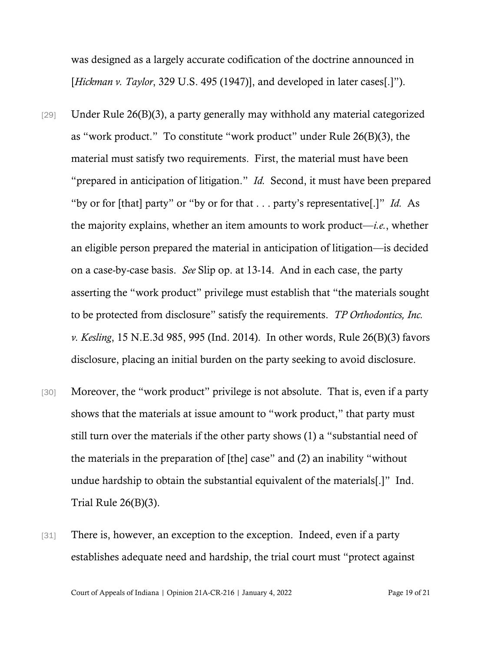was designed as a largely accurate codification of the doctrine announced in [*Hickman v. Taylor*, 329 U.S. 495 (1947)], and developed in later cases[.]").

- [29] Under Rule 26(B)(3), a party generally may withhold any material categorized as "work product." To constitute "work product" under Rule 26(B)(3), the material must satisfy two requirements. First, the material must have been "prepared in anticipation of litigation." *Id.* Second, it must have been prepared "by or for [that] party" or "by or for that . . . party's representative[.]" *Id.* As the majority explains, whether an item amounts to work product—*i.e.*, whether an eligible person prepared the material in anticipation of litigation—is decided on a case-by-case basis. *See* Slip op. at 13-14. And in each case, the party asserting the "work product" privilege must establish that "the materials sought to be protected from disclosure" satisfy the requirements. *TP Orthodontics, Inc. v. Kesling*, 15 N.E.3d 985, 995 (Ind. 2014). In other words, Rule 26(B)(3) favors disclosure, placing an initial burden on the party seeking to avoid disclosure.
- [30] Moreover, the "work product" privilege is not absolute. That is, even if a party shows that the materials at issue amount to "work product," that party must still turn over the materials if the other party shows (1) a "substantial need of the materials in the preparation of [the] case" and (2) an inability "without undue hardship to obtain the substantial equivalent of the materials[.]" Ind. Trial Rule 26(B)(3).
- [31] There is, however, an exception to the exception. Indeed, even if a party establishes adequate need and hardship, the trial court must "protect against

Court of Appeals of Indiana | Opinion 21A-CR-216 | January 4, 2022 Page 19 of 21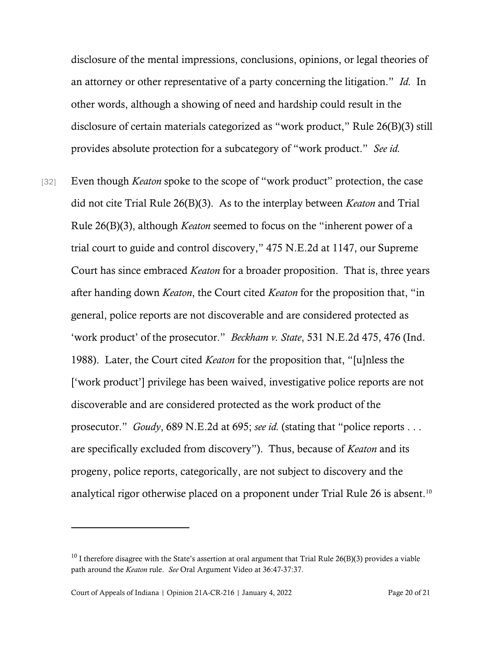disclosure of the mental impressions, conclusions, opinions, or legal theories of an attorney or other representative of a party concerning the litigation." *Id.* In other words, although a showing of need and hardship could result in the disclosure of certain materials categorized as "work product," Rule 26(B)(3) still provides absolute protection for a subcategory of "work product." *See id.*

[32] Even though *Keaton* spoke to the scope of "work product" protection, the case did not cite Trial Rule 26(B)(3). As to the interplay between *Keaton* and Trial Rule 26(B)(3), although *Keaton* seemed to focus on the "inherent power of a trial court to guide and control discovery," 475 N.E.2d at 1147, our Supreme Court has since embraced *Keaton* for a broader proposition. That is, three years after handing down *Keaton*, the Court cited *Keaton* for the proposition that, "in general, police reports are not discoverable and are considered protected as 'work product' of the prosecutor." *Beckham v. State*, 531 N.E.2d 475, 476 (Ind. 1988). Later, the Court cited *Keaton* for the proposition that, "[u]nless the ['work product'] privilege has been waived, investigative police reports are not discoverable and are considered protected as the work product of the prosecutor." *Goudy*, 689 N.E.2d at 695; *see id.* (stating that "police reports . . . are specifically excluded from discovery"). Thus, because of *Keaton* and its progeny, police reports, categorically, are not subject to discovery and the analytical rigor otherwise placed on a proponent under Trial Rule 26 is absent.<sup>[10](#page-19-0)</sup>

<span id="page-19-0"></span> $10$  I therefore disagree with the State's assertion at oral argument that Trial Rule 26(B)(3) provides a viable path around the *Keaton* rule. *See* Oral Argument Video at 36:47-37:37.